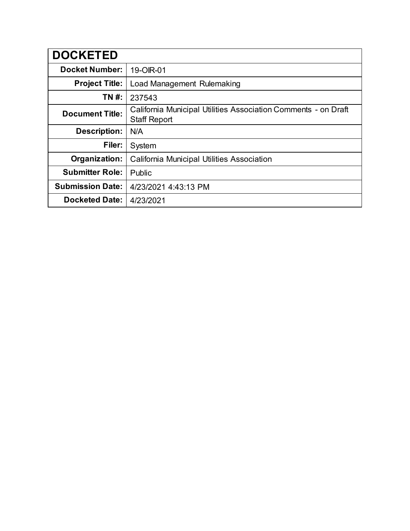| <b>DOCKETED</b>         |                                                                                       |
|-------------------------|---------------------------------------------------------------------------------------|
| <b>Docket Number:</b>   | 19-OIR-01                                                                             |
| <b>Project Title:</b>   | Load Management Rulemaking                                                            |
| TN #:                   | 237543                                                                                |
| <b>Document Title:</b>  | California Municipal Utilities Association Comments - on Draft<br><b>Staff Report</b> |
| <b>Description:</b>     | N/A                                                                                   |
| Filer:                  | System                                                                                |
| Organization:           | California Municipal Utilities Association                                            |
| <b>Submitter Role:</b>  | Public                                                                                |
| <b>Submission Date:</b> | 4/23/2021 4:43:13 PM                                                                  |
| <b>Docketed Date:</b>   | 4/23/2021                                                                             |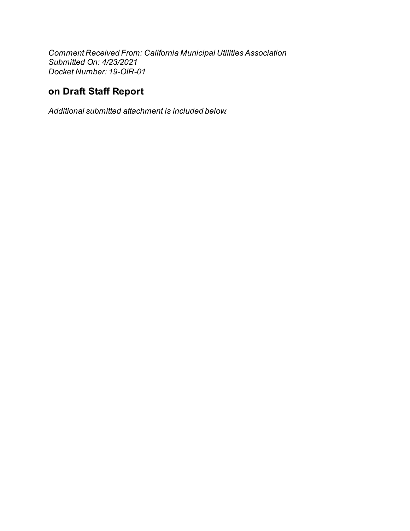Comment Received From: California Municipal Utilities Association Submitted On: 4/23/2021 Docket Number: 19-OIR-01

# on Draft Staff Report

Additional submitted attachment is included below.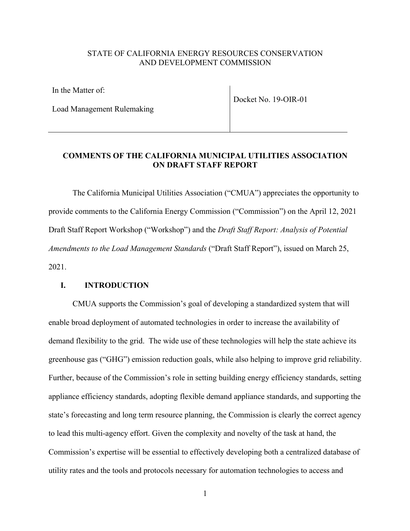## STATE OF CALIFORNIA ENERGY RESOURCES CONSERVATION AND DEVELOPMENT COMMISSION

In the Matter of:

Load Management Rulemaking

Docket No. 19-OIR-01

### **COMMENTS OF THE CALIFORNIA MUNICIPAL UTILITIES ASSOCIATION ON DRAFT STAFF REPORT**

The California Municipal Utilities Association ("CMUA") appreciates the opportunity to provide comments to the California Energy Commission ("Commission") on the April 12, 2021 Draft Staff Report Workshop ("Workshop") and the *Draft Staff Report: Analysis of Potential Amendments to the Load Management Standards* ("Draft Staff Report"), issued on March 25, 2021.

#### **I. INTRODUCTION**

CMUA supports the Commission's goal of developing a standardized system that will enable broad deployment of automated technologies in order to increase the availability of demand flexibility to the grid. The wide use of these technologies will help the state achieve its greenhouse gas ("GHG") emission reduction goals, while also helping to improve grid reliability. Further, because of the Commission's role in setting building energy efficiency standards, setting appliance efficiency standards, adopting flexible demand appliance standards, and supporting the state's forecasting and long term resource planning, the Commission is clearly the correct agency to lead this multi-agency effort. Given the complexity and novelty of the task at hand, the Commission's expertise will be essential to effectively developing both a centralized database of utility rates and the tools and protocols necessary for automation technologies to access and

1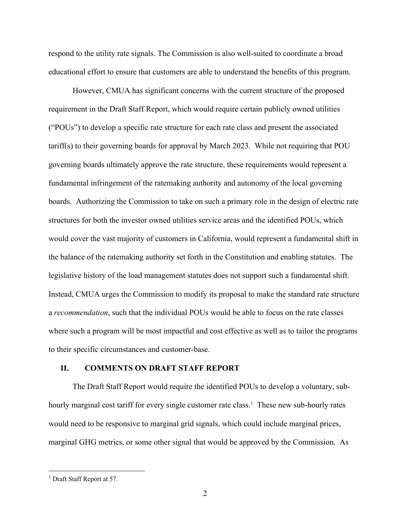respond to the utility rate signals. The Commission is also well-suited to coordinate a broad educational effort to ensure that customers are able to understand the benefits of this program.

However, CMUA has significant concerns with the current structure of the proposed requirement in the Draft Staff Report, which would require certain publicly owned utilities ("POUs") to develop a specific rate structure for each rate class and present the associated tariff(s) to their governing boards for approval by March 2023. While not requiring that POU governing boards ultimately approve the rate structure, these requirements would represent a fundamental infringement of the ratemaking authority and autonomy of the local governing boards. Authorizing the Commission to take on such a primary role in the design of electric rate structures for both the investor owned utilities service areas and the identified POUs, which would cover the vast majority of customers in California, would represent a fundamental shift in the balance of the ratemaking authority set forth in the Constitution and enabling statutes. The legislative history of the load management statutes does not support such a fundamental shift. Instead, CMUA urges the Commission to modify its proposal to make the standard rate structure a *recommendation*, such that the individual POUs would be able to focus on the rate classes where such a program will be most impactful and cost effective as well as to tailor the programs to their specific circumstances and customer-base.

### **II. COMMENTS ON DRAFT STAFF REPORT**

The Draft Staff Report would require the identified POUs to develop a voluntary, subhourly marginal cost tariff for every single customer rate class.<sup>1</sup> These new sub-hourly rates would need to be responsive to marginal grid signals, which could include marginal prices, marginal GHG metrics, or some other signal that would be approved by the Commission. As

 $<sup>1</sup>$  Draft Staff Report at 57.</sup>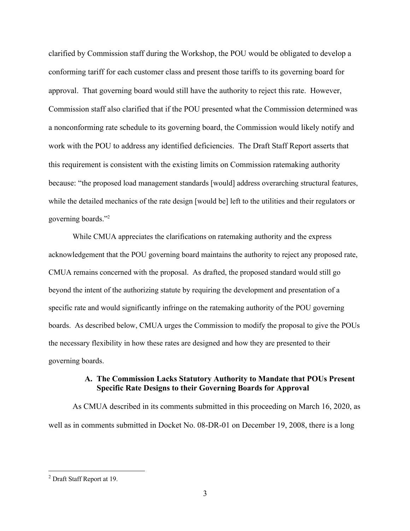clarified by Commission staff during the Workshop, the POU would be obligated to develop a conforming tariff for each customer class and present those tariffs to its governing board for approval. That governing board would still have the authority to reject this rate. However, Commission staff also clarified that if the POU presented what the Commission determined was a nonconforming rate schedule to its governing board, the Commission would likely notify and work with the POU to address any identified deficiencies. The Draft Staff Report asserts that this requirement is consistent with the existing limits on Commission ratemaking authority because: "the proposed load management standards [would] address overarching structural features, while the detailed mechanics of the rate design [would be] left to the utilities and their regulators or governing boards."2

While CMUA appreciates the clarifications on ratemaking authority and the express acknowledgement that the POU governing board maintains the authority to reject any proposed rate, CMUA remains concerned with the proposal. As drafted, the proposed standard would still go beyond the intent of the authorizing statute by requiring the development and presentation of a specific rate and would significantly infringe on the ratemaking authority of the POU governing boards. As described below, CMUA urges the Commission to modify the proposal to give the POUs the necessary flexibility in how these rates are designed and how they are presented to their governing boards.

## **A. The Commission Lacks Statutory Authority to Mandate that POUs Present Specific Rate Designs to their Governing Boards for Approval**

As CMUA described in its comments submitted in this proceeding on March 16, 2020, as well as in comments submitted in Docket No. 08-DR-01 on December 19, 2008, there is a long

<sup>2</sup> Draft Staff Report at 19.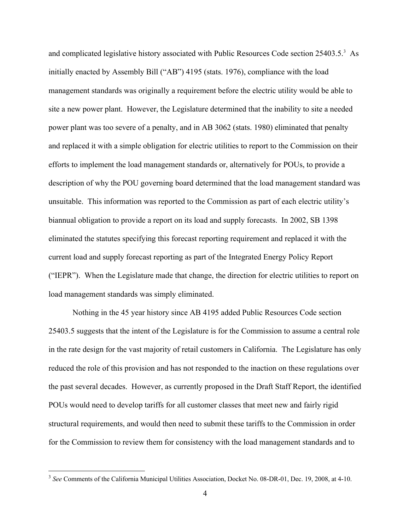and complicated legislative history associated with Public Resources Code section 25403.5.<sup>3</sup> As initially enacted by Assembly Bill ("AB") 4195 (stats. 1976), compliance with the load management standards was originally a requirement before the electric utility would be able to site a new power plant. However, the Legislature determined that the inability to site a needed power plant was too severe of a penalty, and in AB 3062 (stats. 1980) eliminated that penalty and replaced it with a simple obligation for electric utilities to report to the Commission on their efforts to implement the load management standards or, alternatively for POUs, to provide a description of why the POU governing board determined that the load management standard was unsuitable. This information was reported to the Commission as part of each electric utility's biannual obligation to provide a report on its load and supply forecasts. In 2002, SB 1398 eliminated the statutes specifying this forecast reporting requirement and replaced it with the current load and supply forecast reporting as part of the Integrated Energy Policy Report ("IEPR"). When the Legislature made that change, the direction for electric utilities to report on load management standards was simply eliminated.

Nothing in the 45 year history since AB 4195 added Public Resources Code section 25403.5 suggests that the intent of the Legislature is for the Commission to assume a central role in the rate design for the vast majority of retail customers in California. The Legislature has only reduced the role of this provision and has not responded to the inaction on these regulations over the past several decades. However, as currently proposed in the Draft Staff Report, the identified POUs would need to develop tariffs for all customer classes that meet new and fairly rigid structural requirements, and would then need to submit these tariffs to the Commission in order for the Commission to review them for consistency with the load management standards and to

<sup>3</sup> *See* Comments of the California Municipal Utilities Association, Docket No. 08-DR-01, Dec. 19, 2008, at 4-10.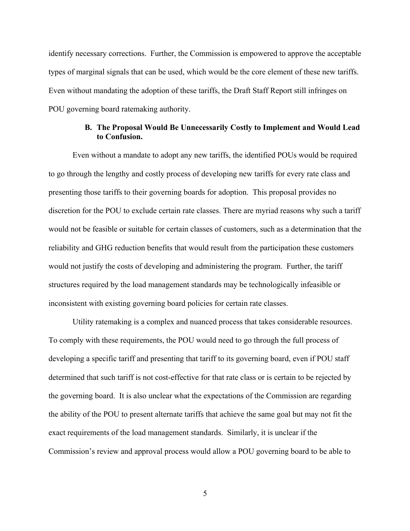identify necessary corrections. Further, the Commission is empowered to approve the acceptable types of marginal signals that can be used, which would be the core element of these new tariffs. Even without mandating the adoption of these tariffs, the Draft Staff Report still infringes on POU governing board ratemaking authority.

### **B. The Proposal Would Be Unnecessarily Costly to Implement and Would Lead to Confusion.**

Even without a mandate to adopt any new tariffs, the identified POUs would be required to go through the lengthy and costly process of developing new tariffs for every rate class and presenting those tariffs to their governing boards for adoption. This proposal provides no discretion for the POU to exclude certain rate classes. There are myriad reasons why such a tariff would not be feasible or suitable for certain classes of customers, such as a determination that the reliability and GHG reduction benefits that would result from the participation these customers would not justify the costs of developing and administering the program. Further, the tariff structures required by the load management standards may be technologically infeasible or inconsistent with existing governing board policies for certain rate classes.

Utility ratemaking is a complex and nuanced process that takes considerable resources. To comply with these requirements, the POU would need to go through the full process of developing a specific tariff and presenting that tariff to its governing board, even if POU staff determined that such tariff is not cost-effective for that rate class or is certain to be rejected by the governing board. It is also unclear what the expectations of the Commission are regarding the ability of the POU to present alternate tariffs that achieve the same goal but may not fit the exact requirements of the load management standards. Similarly, it is unclear if the Commission's review and approval process would allow a POU governing board to be able to

5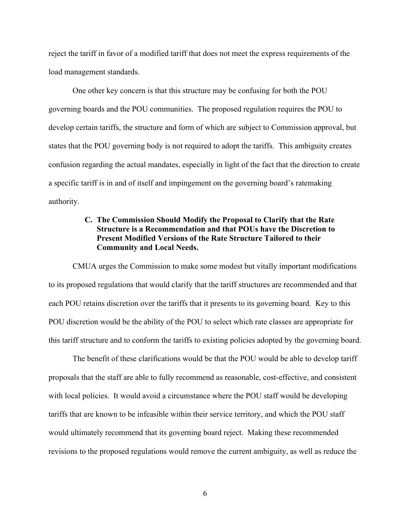reject the tariff in favor of a modified tariff that does not meet the express requirements of the load management standards.

One other key concern is that this structure may be confusing for both the POU governing boards and the POU communities. The proposed regulation requires the POU to develop certain tariffs, the structure and form of which are subject to Commission approval, but states that the POU governing body is not required to adopt the tariffs. This ambiguity creates confusion regarding the actual mandates, especially in light of the fact that the direction to create a specific tariff is in and of itself and impingement on the governing board's ratemaking authority.

## **C. The Commission Should Modify the Proposal to Clarify that the Rate Structure is a Recommendation and that POUs have the Discretion to Present Modified Versions of the Rate Structure Tailored to their Community and Local Needs.**

CMUA urges the Commission to make some modest but vitally important modifications to its proposed regulations that would clarify that the tariff structures are recommended and that each POU retains discretion over the tariffs that it presents to its governing board. Key to this POU discretion would be the ability of the POU to select which rate classes are appropriate for this tariff structure and to conform the tariffs to existing policies adopted by the governing board.

The benefit of these clarifications would be that the POU would be able to develop tariff proposals that the staff are able to fully recommend as reasonable, cost-effective, and consistent with local policies. It would avoid a circumstance where the POU staff would be developing tariffs that are known to be infeasible within their service territory, and which the POU staff would ultimately recommend that its governing board reject. Making these recommended revisions to the proposed regulations would remove the current ambiguity, as well as reduce the